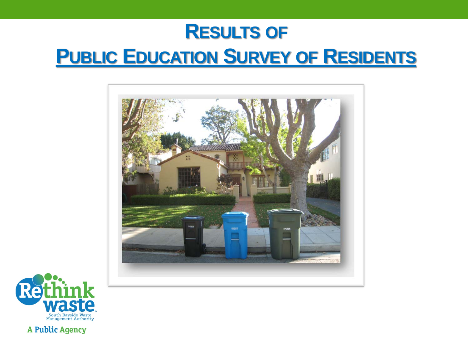## **RESULTS OF PUBLIC EDUCATION SURVEY OF RESIDENTS**





**A Public Agency**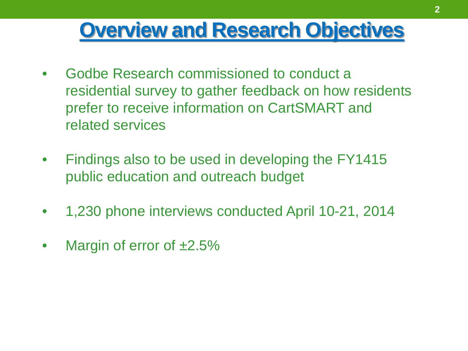#### **Overview and Research Objectives**

- Godbe Research commissioned to conduct a residential survey to gather feedback on how residents prefer to receive information on CartSMART and related services
- Findings also to be used in developing the FY1415 public education and outreach budget
- 1,230 phone interviews conducted April 10-21, 2014
- Margin of error of  $\pm 2.5\%$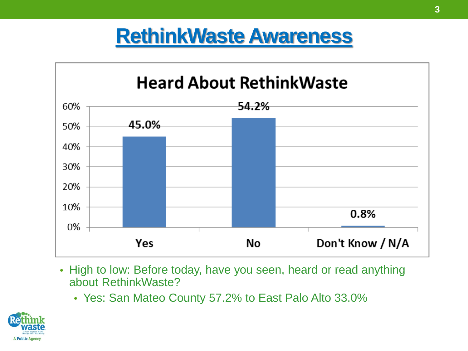#### **RethinkWaste Awareness**



- High to low: Before today, have you seen, heard or read anything about RethinkWaste?
	- Yes: San Mateo County 57.2% to East Palo Alto 33.0%

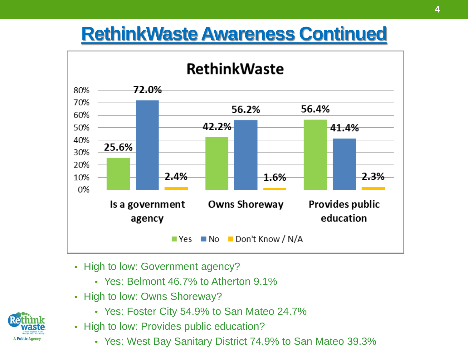#### **RethinkWaste Awareness Continued**



- High to low: Government agency?
	- Yes: Belmont 46.7% to Atherton 9.1%
- High to low: Owns Shoreway?
	- Yes: Foster City 54.9% to San Mateo 24.7%
- High to low: Provides public education?
	- Yes: West Bay Sanitary District 74.9% to San Mateo 39.3%

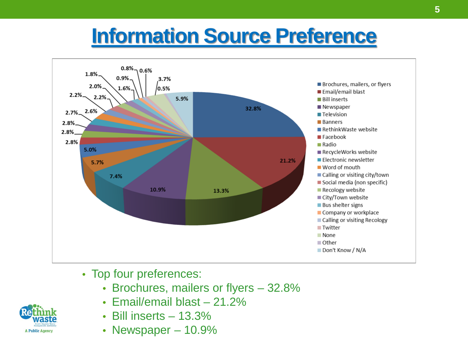## **Information Source Preference**



- Top four preferences:
	- Brochures, mailers or flyers 32.8%
	- Email/email blast 21.2%
	- Bill inserts  $-13.3\%$
	- Newspaper 10.9%

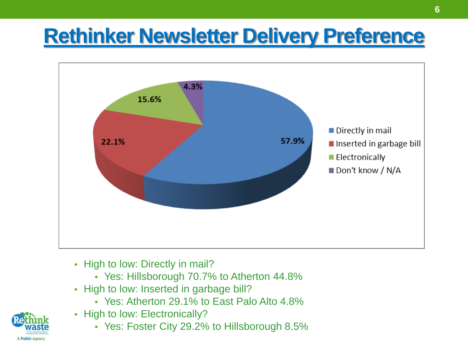## **Rethinker Newsletter Delivery Preference**



- High to low: Directly in mail?
	- Yes: Hillsborough 70.7% to Atherton 44.8%
- High to low: Inserted in garbage bill?
	- Yes: Atherton 29.1% to East Palo Alto 4.8%
- High to low: Electronically?
	- Yes: Foster City 29.2% to Hillsborough 8.5%

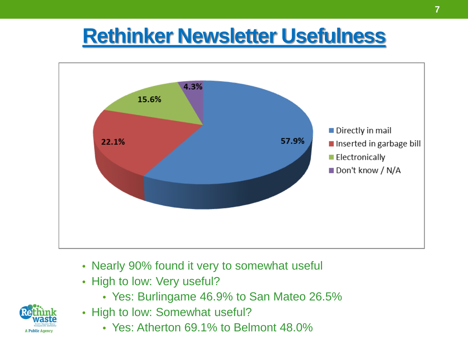### **Rethinker Newsletter Usefulness**



- Nearly 90% found it very to somewhat useful
- High to low: Very useful?
	- Yes: Burlingame 46.9% to San Mateo 26.5%
- High to low: Somewhat useful?
	- Yes: Atherton 69.1% to Belmont 48.0%

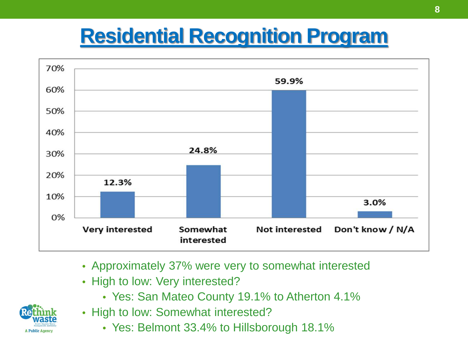# **Residential Recognition Program**



- Approximately 37% were very to somewhat interested
- High to low: Very interested?
	- Yes: San Mateo County 19.1% to Atherton 4.1%



- High to low: Somewhat interested?
	- Yes: Belmont 33.4% to Hillsborough 18.1%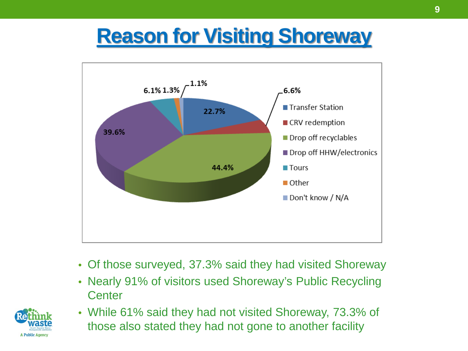# **Reason for Visiting Shoreway**



- Of those surveyed, 37.3% said they had visited Shoreway
- Nearly 91% of visitors used Shoreway's Public Recycling **Center**



• While 61% said they had not visited Shoreway, 73.3% of those also stated they had not gone to another facility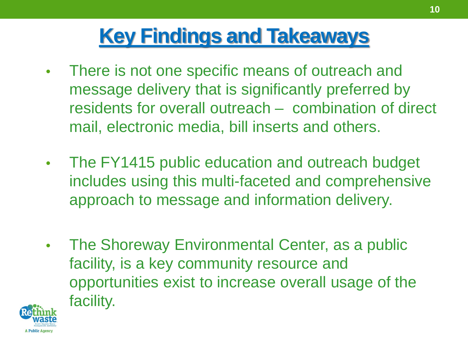# **Key Findings and Takeaways**

- There is not one specific means of outreach and message delivery that is significantly preferred by residents for overall outreach – combination of direct mail, electronic media, bill inserts and others.
- The FY1415 public education and outreach budget includes using this multi-faceted and comprehensive approach to message and information delivery.
- The Shoreway Environmental Center, as a public facility, is a key community resource and opportunities exist to increase overall usage of the facility.